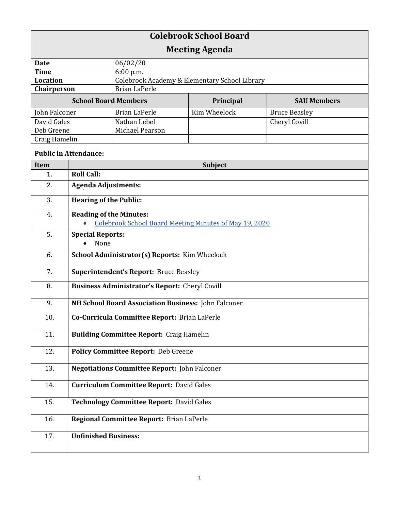| <b>Colebrook School Board</b> |                                                        |                                               |              |                      |  |
|-------------------------------|--------------------------------------------------------|-----------------------------------------------|--------------|----------------------|--|
| <b>Meeting Agenda</b>         |                                                        |                                               |              |                      |  |
| <b>Date</b>                   |                                                        | 06/02/20                                      |              |                      |  |
| <b>Time</b>                   |                                                        | 6:00 p.m.                                     |              |                      |  |
| Location                      |                                                        | Colebrook Academy & Elementary School Library |              |                      |  |
| Chairperson                   |                                                        | <b>Brian LaPerle</b>                          |              |                      |  |
| <b>School Board Members</b>   |                                                        |                                               | Principal    | <b>SAU Members</b>   |  |
| John Falconer                 |                                                        | <b>Brian LaPerle</b>                          | Kim Wheelock | <b>Bruce Beasley</b> |  |
| David Gales                   |                                                        | Nathan Lebel                                  |              | Cheryl Covill        |  |
| Deb Greene                    |                                                        | Michael Pearson                               |              |                      |  |
| Craig Hamelin                 |                                                        |                                               |              |                      |  |
| <b>Public in Attendance:</b>  |                                                        |                                               |              |                      |  |
| Item                          | <b>Subject</b>                                         |                                               |              |                      |  |
| 1.                            | <b>Roll Call:</b>                                      |                                               |              |                      |  |
| 2.                            | <b>Agenda Adjustments:</b>                             |                                               |              |                      |  |
| 3.                            | <b>Hearing of the Public:</b>                          |                                               |              |                      |  |
| 4.                            | <b>Reading of the Minutes:</b>                         |                                               |              |                      |  |
|                               | Colebrook School Board Meeting Minutes of May 19, 2020 |                                               |              |                      |  |
| 5.                            | <b>Special Reports:</b>                                |                                               |              |                      |  |
|                               | None                                                   |                                               |              |                      |  |
| 6.                            | School Administrator(s) Reports: Kim Wheelock          |                                               |              |                      |  |
| 7.                            | <b>Superintendent's Report: Bruce Beasley</b>          |                                               |              |                      |  |
| 8.                            | <b>Business Administrator's Report: Cheryl Covill</b>  |                                               |              |                      |  |
| 9.                            | NH School Board Association Business: John Falconer    |                                               |              |                      |  |
| 10.                           | Co-Curricula Committee Report: Brian LaPerle           |                                               |              |                      |  |
| 11.                           | <b>Building Committee Report: Craig Hamelin</b>        |                                               |              |                      |  |
| 12.                           | Policy Committee Report: Deb Greene                    |                                               |              |                      |  |
| 13.                           | <b>Negotiations Committee Report: John Falconer</b>    |                                               |              |                      |  |
| 14.                           | <b>Curriculum Committee Report: David Gales</b>        |                                               |              |                      |  |
| 15.                           | <b>Technology Committee Report: David Gales</b>        |                                               |              |                      |  |
| 16.                           | Regional Committee Report: Brian LaPerle               |                                               |              |                      |  |
| 17.                           | <b>Unfinished Business:</b>                            |                                               |              |                      |  |